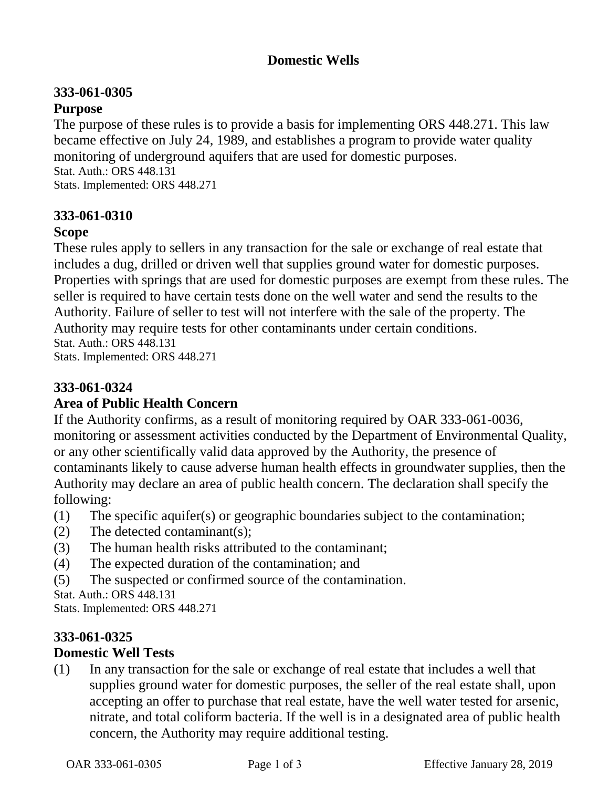## **Domestic Wells**

# **333-061-0305**

## **Purpose**

The purpose of these rules is to provide a basis for implementing ORS 448.271. This law became effective on July 24, 1989, and establishes a program to provide water quality monitoring of underground aquifers that are used for domestic purposes. Stat. Auth.: ORS 448.131 Stats. Implemented: ORS 448.271

## **333-061-0310**

### **Scope**

These rules apply to sellers in any transaction for the sale or exchange of real estate that includes a dug, drilled or driven well that supplies ground water for domestic purposes. Properties with springs that are used for domestic purposes are exempt from these rules. The seller is required to have certain tests done on the well water and send the results to the Authority. Failure of seller to test will not interfere with the sale of the property. The Authority may require tests for other contaminants under certain conditions. Stat. Auth.: ORS 448.131 Stats. Implemented: ORS 448.271

## **333-061-0324**

### **Area of Public Health Concern**

If the Authority confirms, as a result of monitoring required by OAR 333-061-0036, monitoring or assessment activities conducted by the Department of Environmental Quality, or any other scientifically valid data approved by the Authority, the presence of contaminants likely to cause adverse human health effects in groundwater supplies, then the Authority may declare an area of public health concern. The declaration shall specify the following:

- (1) The specific aquifer(s) or geographic boundaries subject to the contamination;
- (2) The detected contaminant(s);
- (3) The human health risks attributed to the contaminant;
- (4) The expected duration of the contamination; and
- (5) The suspected or confirmed source of the contamination.

Stat. Auth.: ORS 448.131

Stats. Implemented: ORS 448.271

#### **333-061-0325 Domestic Well Tests**

(1) In any transaction for the sale or exchange of real estate that includes a well that supplies ground water for domestic purposes, the seller of the real estate shall, upon accepting an offer to purchase that real estate, have the well water tested for arsenic, nitrate, and total coliform bacteria. If the well is in a designated area of public health concern, the Authority may require additional testing.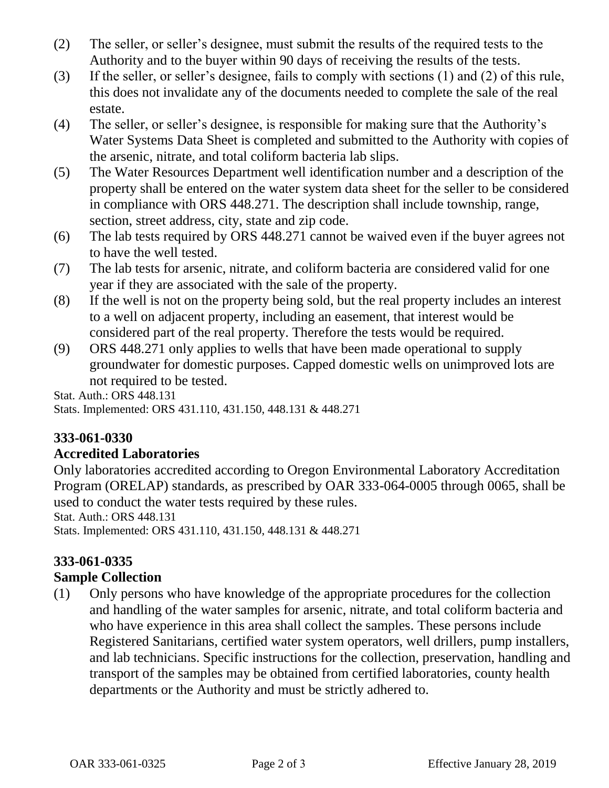- (2) The seller, or seller's designee, must submit the results of the required tests to the Authority and to the buyer within 90 days of receiving the results of the tests.
- (3) If the seller, or seller's designee, fails to comply with sections (1) and (2) of this rule, this does not invalidate any of the documents needed to complete the sale of the real estate.
- (4) The seller, or seller's designee, is responsible for making sure that the Authority's Water Systems Data Sheet is completed and submitted to the Authority with copies of the arsenic, nitrate, and total coliform bacteria lab slips.
- (5) The Water Resources Department well identification number and a description of the property shall be entered on the water system data sheet for the seller to be considered in compliance with ORS 448.271. The description shall include township, range, section, street address, city, state and zip code.
- (6) The lab tests required by ORS 448.271 cannot be waived even if the buyer agrees not to have the well tested.
- (7) The lab tests for arsenic, nitrate, and coliform bacteria are considered valid for one year if they are associated with the sale of the property.
- (8) If the well is not on the property being sold, but the real property includes an interest to a well on adjacent property, including an easement, that interest would be considered part of the real property. Therefore the tests would be required.
- (9) ORS 448.271 only applies to wells that have been made operational to supply groundwater for domestic purposes. Capped domestic wells on unimproved lots are not required to be tested.

Stat. Auth.: ORS 448.131 Stats. Implemented: ORS 431.110, 431.150, 448.131 & 448.271

# **333-061-0330**

### **Accredited Laboratories**

Only laboratories accredited according to Oregon Environmental Laboratory Accreditation Program (ORELAP) standards, as prescribed by OAR 333-064-0005 through 0065, shall be used to conduct the water tests required by these rules.

Stat. Auth.: ORS 448.131

Stats. Implemented: ORS 431.110, 431.150, 448.131 & 448.271

# **333-061-0335**

### **Sample Collection**

(1) Only persons who have knowledge of the appropriate procedures for the collection and handling of the water samples for arsenic, nitrate, and total coliform bacteria and who have experience in this area shall collect the samples. These persons include Registered Sanitarians, certified water system operators, well drillers, pump installers, and lab technicians. Specific instructions for the collection, preservation, handling and transport of the samples may be obtained from certified laboratories, county health departments or the Authority and must be strictly adhered to.